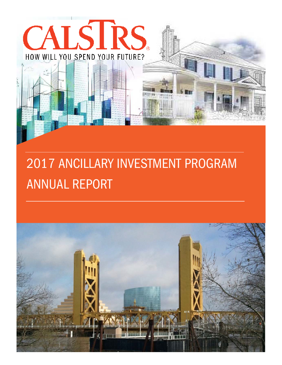

# 2017 ANCILLARY INVESTMENT PROGRAM ANNUAL REPORT

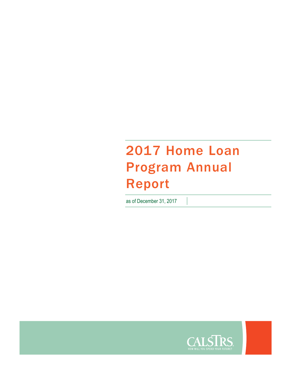## 2017 Home Loan Program Annual Report

as of December 31, 2017

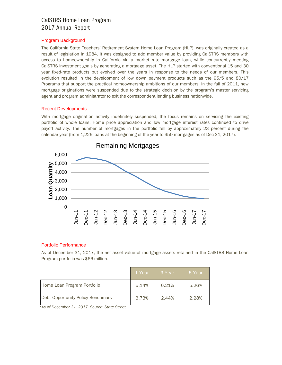### CalSTRS Home Loan Program 2017 Annual Report

#### Program Background

The California State Teachers' Retirement System Home Loan Program (HLP), was originally created as a result of legislation in 1984. It was designed to add member value by providing CalSTRS members with access to homeownership in California via a market rate mortgage loan, while concurrently meeting CalSTRS investment goals by generating a mortgage asset. The HLP started with conventional 15 and 30 year fixed-rate products but evolved over the years in response to the needs of our members. This evolution resulted in the development of low down payment products such as the 95/5 and 80/17 Programs that support the practical homeownership ambitions of our members. In the fall of 2011, new mortgage originations were suspended due to the strategic decision by the program's master servicing agent and program administrator to exit the correspondent lending business nationwide.

#### Recent Developments

With mortgage origination activity indefinitely suspended, the focus remains on servicing the existing portfolio of whole loans. Home price appreciation and low mortgage interest rates continued to drive payoff activity. The number of mortgages in the portfolio fell by approximately 23 percent during the calendar year (from 1,226 loans at the beginning of the year to 950 mortgages as of Dec 31, 2017).



#### Portfolio Performance

As of December 31, 2017, the net asset value of mortgage assets retained in the CalSTRS Home Loan Program portfolio was \$66 million.

|                                   | Year  | 3 Year | ⊦5 Year' |
|-----------------------------------|-------|--------|----------|
| Home Loan Program Portfolio       | 5.14% | 6.21%  | 5.26%    |
| Debt Opportunity Policy Benchmark | 3.73% | 2.44%  | 2.28%    |

*\*As of December 31, 2017. Source: State Street*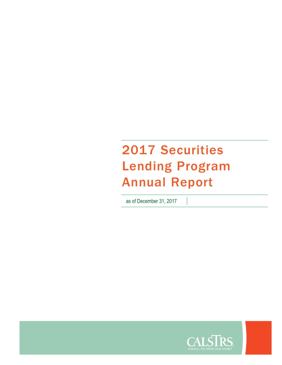### 2017 Securities Lending Program Annual Report

as of December 31, 2017

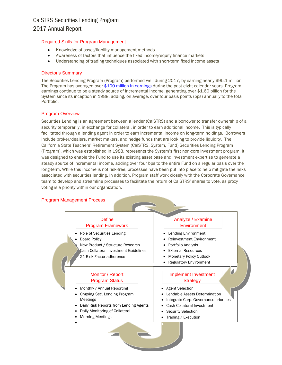#### Required Skills for Program Management

- Knowledge of asset/liability management methods
- Awareness of factors that influence the fixed income/equity finance markets
- Understanding of trading techniques associated with short-term fixed income assets

#### Director's Summary

The Securities Lending Program (Program) performed well during 2017, by earning nearly \$95.1 million. The Program has averaged over [\\$100 million in earnings](#page-6-0) during the past eight calendar years. Program earnings continue to be a steady source of incremental income, generating over \$1.60 billion for the System since its inception in 1988, adding, on average, over four basis points (bps) annually to the total Portfolio.

#### Program Overview

Securities Lending is an agreement between a lender (CalSTRS) and a borrower to transfer ownership of a security temporarily, in exchange for collateral, in order to earn additional income. This is typically facilitated through a lending agent in order to earn incremental income on long-term holdings. Borrowers include broker/dealers, market makers, and hedge funds that are looking to provide liquidity. The California State Teachers' Retirement System (CalSTRS, System, Fund) Securities Lending Program (Program), which was established in 1988, represents the System's first non-core investment program. It was designed to enable the Fund to use its existing asset base and investment expertise to generate a steady source of incremental income, adding over four bps to the entire Fund on a regular basis over the long-term. While this income is not risk-free, processes have been put into place to help mitigate the risks associated with securities lending. In addition, Program staff work closely with the Corporate Governance team to develop and streamline processes to facilitate the return of CalSTRS' shares to vote, as proxy voting is a priority within our organization.

#### Program Management Process

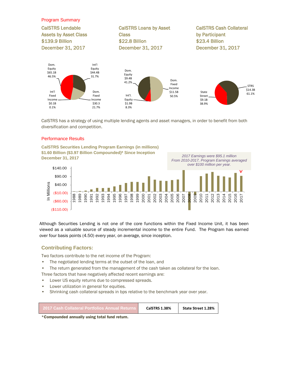<span id="page-6-0"></span>

CalSTRS has a strategy of using multiple lending agents and asset managers, in order to benefit from both diversification and competition.

#### Performance Results

**CalSTRS Securities Lending Program Earnings (in millions) \$1.60 Billion (\$3.97 Billion Compounded)\* Since Inception December 31, 2017**



*2017 Earnings were \$95.1 million*

Although Securities Lending is not one of the core functions within the Fixed Income Unit, it has been viewed as a valuable source of steady incremental income to the entire Fund. The Program has earned over four basis points (4.50) every year, on average, since inception.

#### **Contributing Factors:**

Two factors contribute to the net income of the Program:

- The negotiated lending terms at the outset of the loan, and
- The return generated from the management of the cash taken as collateral for the loan.

Three factors that have negatively affected recent earnings are:

- Lower US equity returns due to compressed spreads.
- Lower utilization in general for equities.
- Shrinking cash collateral spreads in bps relative to the benchmark year over year.

\*Compounded annually using total fund return.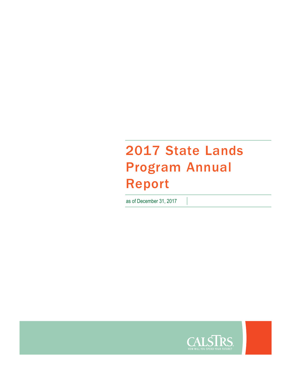## 2017 State Lands Program Annual Report

as of December 31, 2017

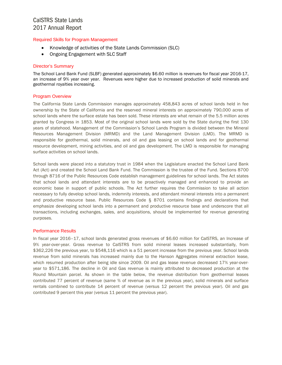#### Required Skills for Program Management

- Knowledge of activities of the State Lands Commission (SLC)
- Ongoing Engagement with SLC Staff

#### Director's Summary

The School Land Bank Fund (SLBF) generated approximately \$6.60 million is revenues for fiscal year 2016-17, an increase of 9% year over year. Revenues were higher due to increased production of solid minerals and geothermal royalties increasing.

#### Program Overview

The California State Lands Commission manages approximately 458,843 acres of school lands held in fee ownership by the State of California and the reserved mineral interests on approximately 790,000 acres of school lands where the surface estate has been sold. These interests are what remain of the 5.5 million acres granted by Congress in 1853. Most of the original school lands were sold by the State during the first 130 years of statehood. Management of the Commission's School Lands Program is divided between the Mineral Resources Management Division (MRMD) and the Land Management Division (LMD). The MRMD is responsible for geothermal, solid minerals, and oil and gas leasing on school lands and for geothermal resource development, mining activities, and oil and gas development. The LMD is responsible for managing surface activities on school lands.

School lands were placed into a statutory trust in 1984 when the Legislature enacted the School Land Bank Act (Act) and created the School Land Bank Fund. The Commission is the trustee of the Fund. Sections 8700 through 8716 of the Public Resources Code establish management guidelines for school lands. The Act states that school lands and attendant interests are to be proactively managed and enhanced to provide an economic base in support of public schools. The Act further requires the Commission to take all action necessary to fully develop school lands, indemnity interests, and attendant mineral interests into a permanent and productive resource base. Public Resources Code § 8701 contains findings and declarations that emphasize developing school lands into a permanent and productive resource base and underscore that all transactions, including exchanges, sales, and acquisitions, should be implemented for revenue generating purposes.

#### Performance Results

In fiscal year 2016–17, school lands generated gross revenues of \$6.60 million for CalSTRS, an Increase of 9% year-over-year. Gross revenue to CalSTRS from solid mineral leases increased substantially, from \$362,226 the previous year, to \$548,116 which is a 51 percent increase from the previous year. School lands revenue from solid minerals has increased mainly due to the Hanson Aggregates mineral extraction lease, which resumed production after being idle since 2009. Oil and gas lease revenue decreased 17% year-overyear to \$571,186. The decline in Oil and Gas revenue is mainly attributed to decreased production at the Round Mountain parcel. As shown in the table below, the revenue distribution from geothermal leases contributed 77 percent of revenue (same % of revenue as in the previous year), solid minerals and surface rentals combined to contribute 14 percent of revenue (versus 12 percent the previous year). Oil and gas contributed 9 percent this year (versus 11 percent the previous year).